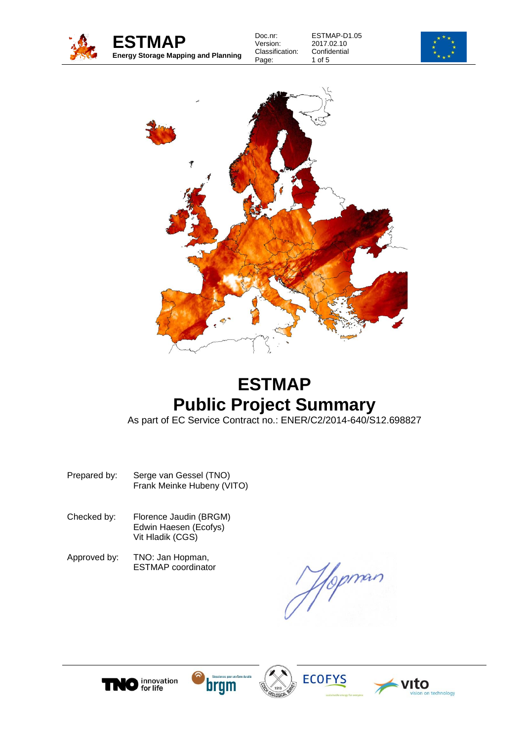

ESTMAP-D1.05 2017.02.10 **Confidential** 1 of 5





# **ESTMAP Public Project Summary**

As part of EC Service Contract no.: ENER/C2/2014-640/S12.698827

- Prepared by: Serge van Gessel (TNO) Frank Meinke Hubeny (VITO)
- Checked by: Florence Jaudin (BRGM) Edwin Haesen (Ecofys) Vit Hladik (CGS)
- Approved by: TNO: Jan Hopman, ESTMAP coordinator

Hopman







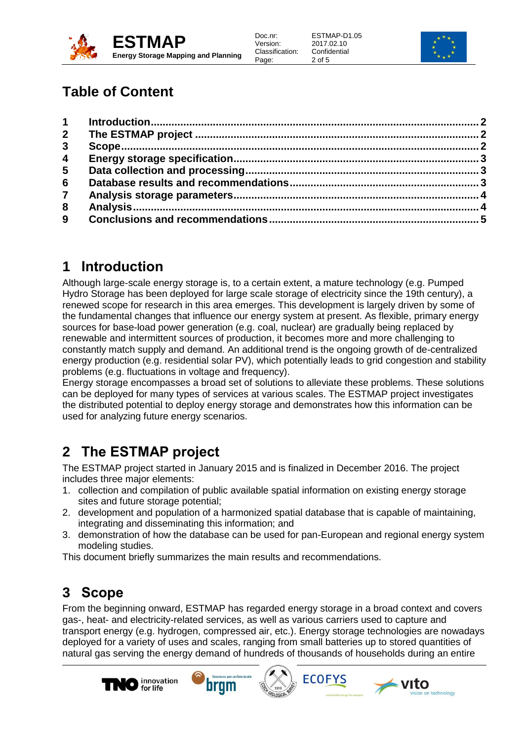

ESTMAP-D1.05 2017.02.10 **Confidential** 2 of 5



## **Table of Content**

| $2^{\circ}$             |  |
|-------------------------|--|
| $\mathbf{3}$            |  |
| $\overline{\mathbf{4}}$ |  |
| 5                       |  |
| $6\phantom{1}$          |  |
| $\overline{7}$          |  |
| 8                       |  |
| 9 <sup>°</sup>          |  |
|                         |  |

### <span id="page-1-0"></span>**1 Introduction**

Although large-scale energy storage is, to a certain extent, a mature technology (e.g. Pumped Hydro Storage has been deployed for large scale storage of electricity since the 19th century), a renewed scope for research in this area emerges. This development is largely driven by some of the fundamental changes that influence our energy system at present. As flexible, primary energy sources for base-load power generation (e.g. coal, nuclear) are gradually being replaced by renewable and intermittent sources of production, it becomes more and more challenging to constantly match supply and demand. An additional trend is the ongoing growth of de-centralized energy production (e.g. residential solar PV), which potentially leads to grid congestion and stability problems (e.g. fluctuations in voltage and frequency).

Energy storage encompasses a broad set of solutions to alleviate these problems. These solutions can be deployed for many types of services at various scales. The ESTMAP project investigates the distributed potential to deploy energy storage and demonstrates how this information can be used for analyzing future energy scenarios.

## <span id="page-1-1"></span>**2 The ESTMAP project**

The ESTMAP project started in January 2015 and is finalized in December 2016. The project includes three major elements:

- 1. collection and compilation of public available spatial information on existing energy storage sites and future storage potential;
- 2. development and population of a harmonized spatial database that is capable of maintaining, integrating and disseminating this information; and
- 3. demonstration of how the database can be used for pan-European and regional energy system modeling studies.

This document briefly summarizes the main results and recommendations.

#### <span id="page-1-2"></span>**3 Scope**

From the beginning onward, ESTMAP has regarded energy storage in a broad context and covers gas-, heat- and electricity-related services, as well as various carriers used to capture and transport energy (e.g. hydrogen, compressed air, etc.). Energy storage technologies are nowadays deployed for a variety of uses and scales, ranging from small batteries up to stored quantities of natural gas serving the energy demand of hundreds of thousands of households during an entire







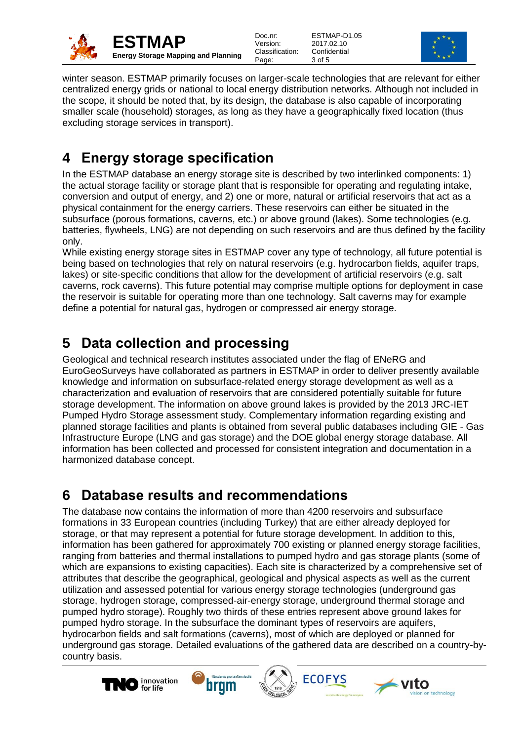

ESTMAP-D1.05 2017.02.10 **Confidential** 3 of 5



winter season. ESTMAP primarily focuses on larger-scale technologies that are relevant for either centralized energy grids or national to local energy distribution networks. Although not included in the scope, it should be noted that, by its design, the database is also capable of incorporating smaller scale (household) storages, as long as they have a geographically fixed location (thus excluding storage services in transport).

## <span id="page-2-0"></span>**4 Energy storage specification**

In the ESTMAP database an energy storage site is described by two interlinked components: 1) the actual storage facility or storage plant that is responsible for operating and regulating intake, conversion and output of energy, and 2) one or more, natural or artificial reservoirs that act as a physical containment for the energy carriers. These reservoirs can either be situated in the subsurface (porous formations, caverns, etc.) or above ground (lakes). Some technologies (e.g. batteries, flywheels, LNG) are not depending on such reservoirs and are thus defined by the facility only.

While existing energy storage sites in ESTMAP cover any type of technology, all future potential is being based on technologies that rely on natural reservoirs (e.g. hydrocarbon fields, aquifer traps, lakes) or site-specific conditions that allow for the development of artificial reservoirs (e.g. salt caverns, rock caverns). This future potential may comprise multiple options for deployment in case the reservoir is suitable for operating more than one technology. Salt caverns may for example define a potential for natural gas, hydrogen or compressed air energy storage.

## <span id="page-2-1"></span>**5 Data collection and processing**

Geological and technical research institutes associated under the flag of ENeRG and EuroGeoSurveys have collaborated as partners in ESTMAP in order to deliver presently available knowledge and information on subsurface-related energy storage development as well as a characterization and evaluation of reservoirs that are considered potentially suitable for future storage development. The information on above ground lakes is provided by the 2013 JRC-IET Pumped Hydro Storage assessment study. Complementary information regarding existing and planned storage facilities and plants is obtained from several public databases including GIE - Gas Infrastructure Europe (LNG and gas storage) and the DOE global energy storage database. All information has been collected and processed for consistent integration and documentation in a harmonized database concept.

#### <span id="page-2-2"></span>**6 Database results and recommendations**

The database now contains the information of more than 4200 reservoirs and subsurface formations in 33 European countries (including Turkey) that are either already deployed for storage, or that may represent a potential for future storage development. In addition to this, information has been gathered for approximately 700 existing or planned energy storage facilities, ranging from batteries and thermal installations to pumped hydro and gas storage plants (some of which are expansions to existing capacities). Each site is characterized by a comprehensive set of attributes that describe the geographical, geological and physical aspects as well as the current utilization and assessed potential for various energy storage technologies (underground gas storage, hydrogen storage, compressed-air-energy storage, underground thermal storage and pumped hydro storage). Roughly two thirds of these entries represent above ground lakes for pumped hydro storage. In the subsurface the dominant types of reservoirs are aquifers, hydrocarbon fields and salt formations (caverns), most of which are deployed or planned for underground gas storage. Detailed evaluations of the gathered data are described on a country-bycountry basis.







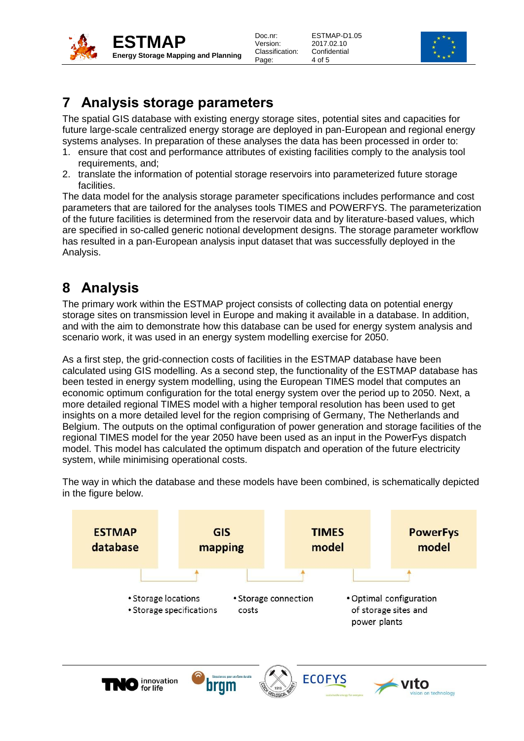

| Doc.nr:         |
|-----------------|
| Version:        |
| Classification: |
| Page:           |

ESTMAP-D1.05 2017.02.10 **Confidential** 4 of 5



#### <span id="page-3-0"></span>**7 Analysis storage parameters**

The spatial GIS database with existing energy storage sites, potential sites and capacities for future large-scale centralized energy storage are deployed in pan-European and regional energy systems analyses. In preparation of these analyses the data has been processed in order to:

- 1. ensure that cost and performance attributes of existing facilities comply to the analysis tool requirements, and;
- 2. translate the information of potential storage reservoirs into parameterized future storage facilities.

The data model for the analysis storage parameter specifications includes performance and cost parameters that are tailored for the analyses tools TIMES and POWERFYS. The parameterization of the future facilities is determined from the reservoir data and by literature-based values, which are specified in so-called generic notional development designs. The storage parameter workflow has resulted in a pan-European analysis input dataset that was successfully deployed in the Analysis.

## <span id="page-3-1"></span>**8 Analysis**

The primary work within the ESTMAP project consists of collecting data on potential energy storage sites on transmission level in Europe and making it available in a database. In addition, and with the aim to demonstrate how this database can be used for energy system analysis and scenario work, it was used in an energy system modelling exercise for 2050.

As a first step, the grid-connection costs of facilities in the ESTMAP database have been calculated using GIS modelling. As a second step, the functionality of the ESTMAP database has been tested in energy system modelling, using the European TIMES model that computes an economic optimum configuration for the total energy system over the period up to 2050. Next, a more detailed regional TIMES model with a higher temporal resolution has been used to get insights on a more detailed level for the region comprising of Germany, The Netherlands and Belgium. The outputs on the optimal configuration of power generation and storage facilities of the regional TIMES model for the year 2050 have been used as an input in the PowerFys dispatch model. This model has calculated the optimum dispatch and operation of the future electricity system, while minimising operational costs.



The way in which the database and these models have been combined, is schematically depicted in the figure below.